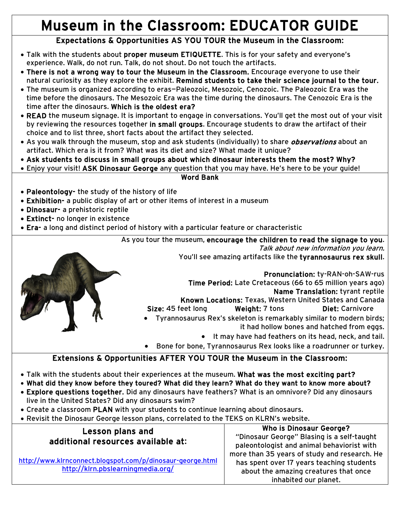## Museum in the Classroom: EDUCATOR GUIDE

## Expectations & Opportunities AS YOU TOUR the Museum in the Classroom:

- Talk with the students about proper museum ETIQUETTE. This is for your safety and everyone's experience. Walk, do not run. Talk, do not shout. Do not touch the artifacts.
- There is not a wrong way to tour the Museum in the Classroom. Encourage everyone to use their natural curiosity as they explore the exhibit. Remind students to take their science journal to the tour.
- The museum is organized according to eras—Paleozoic, Mesozoic, Cenozoic. The Paleozoic Era was the time before the dinosaurs. The Mesozoic Era was the time during the dinosaurs. The Cenozoic Era is the time after the dinosaurs. Which is the oldest era?
- READ the museum signage. It is important to engage in conversations. You'll get the most out of your visit by reviewing the resources together in small groups. Encourage students to draw the artifact of their choice and to list three, short facts about the artifact they selected.
- As you walk through the museum, stop and ask students (individually) to share *observations* about an artifact. Which era is it from? What was its diet and size? What made it unique?
- Ask students to discuss in small groups about which dinosaur interests them the most? Why?
- Enjoy your visit! ASK Dinosaur George any question that you may have. He's here to be your guide!

## Word Bank

- Paleontology- the study of the history of life
- Exhibition- a public display of art or other items of interest in a museum
- Dinosaur- a prehistoric reptile
- Extinct- no longer in existence
- Era- a long and distinct period of history with a particular feature or characteristic



As you tour the museum, encourage the children to read the signage to you.

Talk about new information you learn.

You'll see amazing artifacts like the tyrannosaurus rex skull.

Pronunciation: ty-RAN-oh-SAW-rus Time Period: Late Cretaceous (66 to 65 million years ago) Name Translation: tyrant reptile

- Known Locations: Texas, Western United States and Canada Size: 45 feet long Weight: 7 tons Diet: Carnivore
- Tyrannosaurus Rex's skeleton is remarkably similar to modern birds;
	- it had hollow bones and hatched from eggs.
	- It may have had feathers on its head, neck, and tail.
- Bone for bone, Tyrannosaurus Rex looks like a roadrunner or turkey.

## Extensions & Opportunities AFTER YOU TOUR the Museum in the Classroom:

- Talk with the students about their experiences at the museum. What was the most exciting part?
- What did they know before they toured? What did they learn? What do they want to know more about?
- Explore questions together. Did any dinosaurs have feathers? What is an omnivore? Did any dinosaurs live in the United States? Did any dinosaurs swim?
- Create a classroom PLAN with your students to continue learning about dinosaurs.
- Revisit the Dinosaur George lesson plans, correlated to the TEKS on KLRN's website.

| <b>Lesson plans and</b><br>additional resources available at:                                   | <b>Who is Dinosaur George?</b>               |
|-------------------------------------------------------------------------------------------------|----------------------------------------------|
|                                                                                                 | "Dinosaur George" Blasing is a self-taught   |
|                                                                                                 | paleontologist and animal behaviorist with   |
| http://www.klrnconnect.blogspot.com/p/dinosaur-george.html<br>http://klrn.pbslearningmedia.org/ | more than 35 years of study and research. He |
|                                                                                                 | has spent over 17 years teaching students    |
|                                                                                                 | about the amazing creatures that once        |
|                                                                                                 | inhabited our planet.                        |